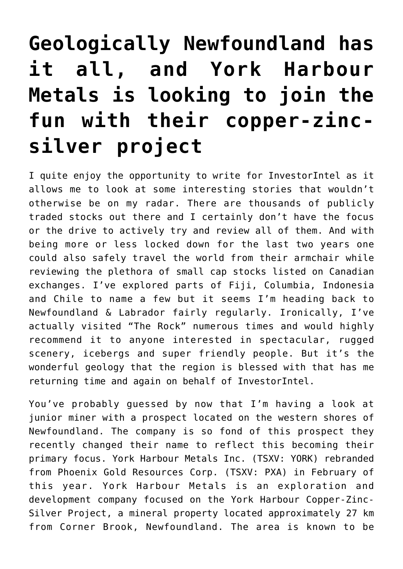## **[Geologically Newfoundland has](https://investorintel.com/markets/gold-silver-base-metals/gold-precious-metals-intel/geologically-newfoundland-has-it-all-and-york-harbour-metals-is-looking-to-join-the-fun-with-their-copper-zinc-silver-project/) [it all, and York Harbour](https://investorintel.com/markets/gold-silver-base-metals/gold-precious-metals-intel/geologically-newfoundland-has-it-all-and-york-harbour-metals-is-looking-to-join-the-fun-with-their-copper-zinc-silver-project/) [Metals is looking to join the](https://investorintel.com/markets/gold-silver-base-metals/gold-precious-metals-intel/geologically-newfoundland-has-it-all-and-york-harbour-metals-is-looking-to-join-the-fun-with-their-copper-zinc-silver-project/) [fun with their copper-zinc](https://investorintel.com/markets/gold-silver-base-metals/gold-precious-metals-intel/geologically-newfoundland-has-it-all-and-york-harbour-metals-is-looking-to-join-the-fun-with-their-copper-zinc-silver-project/)[silver project](https://investorintel.com/markets/gold-silver-base-metals/gold-precious-metals-intel/geologically-newfoundland-has-it-all-and-york-harbour-metals-is-looking-to-join-the-fun-with-their-copper-zinc-silver-project/)**

I quite enjoy the opportunity to write for [InvestorIntel](https://investorintel.com/) as it allows me to look at some interesting stories that wouldn't otherwise be on my radar. There are thousands of publicly traded stocks out there and I certainly don't have the focus or the drive to actively try and review all of them. And with being more or less locked down for the last two years one could also safely travel the world from their armchair while reviewing the plethora of small cap stocks listed on Canadian exchanges. I've explored parts of Fiji, Columbia, Indonesia and Chile to name a few but it seems I'm heading back to Newfoundland & Labrador fairly regularly. Ironically, I've actually visited "The Rock" numerous times and would highly recommend it to anyone interested in spectacular, rugged scenery, icebergs and super friendly people. But it's the wonderful geology that the region is blessed with that has me returning time and again on behalf of InvestorIntel.

You've probably guessed by now that I'm having a look at junior miner with a prospect located on the western shores of Newfoundland. The company is so fond of this prospect they recently changed their name to reflect this becoming their primary focus. [York Harbour Metals Inc.](https://yorkharbourmetals.com/) (TSXV: YORK) [rebranded](https://yorkharbourmetals.com/phoenix-gold-resources-changes-name-to-york-harbour-metals-inc/) [from Phoenix Gold Resources Corp.](https://yorkharbourmetals.com/phoenix-gold-resources-changes-name-to-york-harbour-metals-inc/) (TSXV: PXA) in February of this year. York Harbour Metals is an exploration and development company focused on the [York Harbour Copper-Zinc-](https://yorkharbourmetals.com/york-harbour/)[Silver Project,](https://yorkharbourmetals.com/york-harbour/) a mineral property located approximately 27 km from Corner Brook, Newfoundland. The area is known to be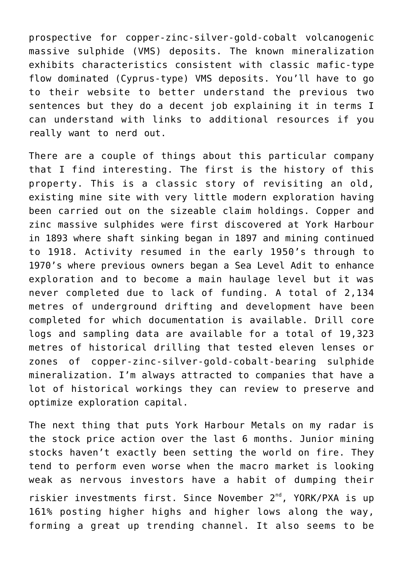prospective for copper-zinc-silver-gold-cobalt volcanogenic massive sulphide (VMS) deposits. The known mineralization exhibits characteristics consistent with classic mafic-type flow dominated (Cyprus-type) VMS deposits. You'll have to go to their [website](https://yorkharbourmetals.com/presentation/) to better understand the previous two sentences but they do a decent job explaining it in terms I can understand with links to additional resources if you really want to nerd out.

There are a couple of things about this particular company that I find interesting. The first is the history of this property. This is a classic story of revisiting an old, existing mine site with very little modern exploration having been carried out on the sizeable claim holdings. Copper and zinc massive sulphides were first discovered at York Harbour in 1893 where shaft sinking began in 1897 and mining continued to 1918. Activity resumed in the early 1950's through to 1970's where previous owners began a Sea Level Adit to enhance exploration and to become a main haulage level but it was never completed due to lack of funding. A total of 2,134 metres of underground drifting and development have been completed for which documentation is available. Drill core logs and sampling data are available for a total of 19,323 metres of historical drilling that tested eleven lenses or zones of copper-zinc-silver-gold-cobalt-bearing sulphide mineralization. I'm always attracted to companies that have a lot of historical workings they can review to preserve and optimize exploration capital.

The next thing that puts York Harbour Metals on my radar is the stock price action over the last 6 months. Junior mining stocks haven't exactly been setting the world on fire. They tend to perform even worse when the macro market is looking weak as nervous investors have a habit of dumping their riskier investments first. Since November 2<sup>nd</sup>, YORK/PXA is up 161% posting higher highs and higher lows along the way, forming a great up trending channel. It also seems to be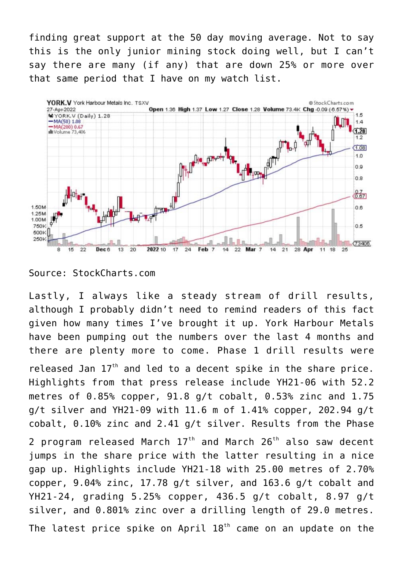finding great support at the 50 day moving average. Not to say this is the only junior mining stock doing well, but I can't say there are many (if any) that are down 25% or more over that same period that I have on my watch list.



Source: StockCharts.com

Lastly, I always like a steady stream of drill results, although I probably didn't need to remind readers of this fact given how many times I've brought it up. York Harbour Metals have been pumping out the numbers over the last 4 months and there are plenty more to come. [Phase 1 drill results](https://yorkharbourmetals.com/phoenix-gold-resources-expands-on-drilling-results-from-the-2021-phase-1-program-at-york-harbour-newfoundland/) were

released Jan 17<sup>th</sup> and led to a decent spike in the share price. Highlights from that press release include YH21-06 with 52.2 metres of  $0.85$ % copper,  $91.8$   $q/t$  cobalt,  $0.53$ % zinc and  $1.75$ g/t silver and YH21-09 with 11.6 m of 1.41% copper, 202.94 g/t cobalt, 0.10% zinc and 2.41 g/t silver. Results from the Phase

2 program released March  $17<sup>th</sup>$  $17<sup>th</sup>$  $17<sup>th</sup>$  and March  $26<sup>th</sup>$  also saw decent jumps in the share price with the latter resulting in a nice gap up. Highlights include YH21-18 with 25.00 metres of 2.70% copper, 9.04% zinc, 17.78 g/t silver, and 163.6 g/t cobalt and YH21-24, grading 5.25% copper, 436.5 g/t cobalt, 8.97 g/t silver, and 0.801% zinc over a drilling length of 29.0 metres.

The latest price spike on April  $18<sup>th</sup>$  came on an [update on the](https://yorkharbourmetals.com/york-harbour-metals-provides-an-update-on-phase-3-drilling-and-exploration-results/)